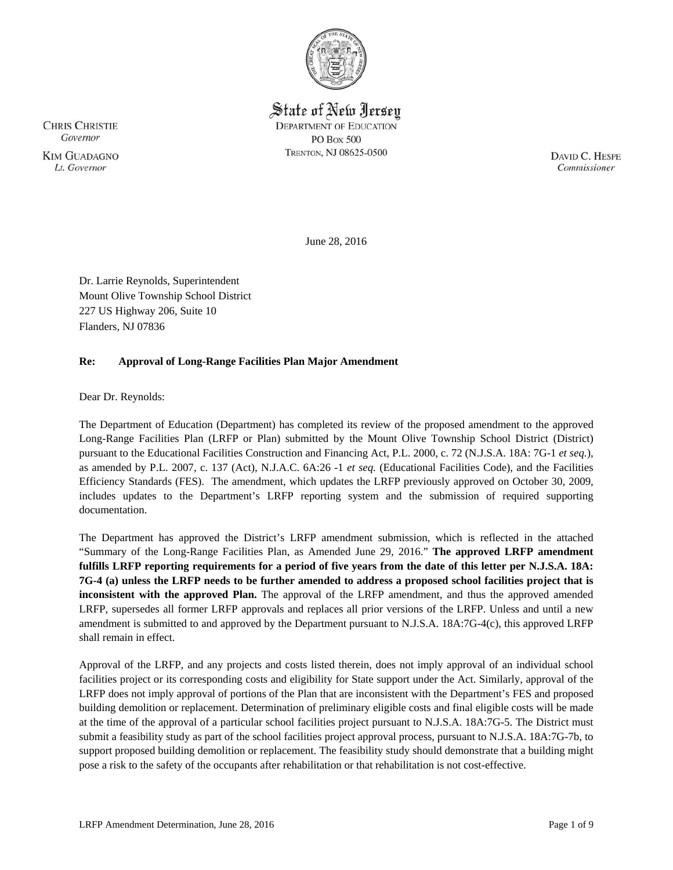

State of New Jersey **DEPARTMENT OF EDUCATION PO Box 500** TRENTON, NJ 08625-0500

DAVID C. HESPE Commissioner

June 28, 2016

Dr. Larrie Reynolds, Superintendent Mount Olive Township School District 227 US Highway 206, Suite 10 Flanders, NJ 07836

# **Re: Approval of Long-Range Facilities Plan Major Amendment**

Dear Dr. Reynolds:

The Department of Education (Department) has completed its review of the proposed amendment to the approved Long-Range Facilities Plan (LRFP or Plan) submitted by the Mount Olive Township School District (District) pursuant to the Educational Facilities Construction and Financing Act, P.L. 2000, c. 72 (N.J.S.A. 18A: 7G-1 *et seq.*), as amended by P.L. 2007, c. 137 (Act), N.J.A.C. 6A:26 -1 *et seq.* (Educational Facilities Code), and the Facilities Efficiency Standards (FES). The amendment, which updates the LRFP previously approved on October 30, 2009, includes updates to the Department's LRFP reporting system and the submission of required supporting documentation.

The Department has approved the District's LRFP amendment submission, which is reflected in the attached "Summary of the Long-Range Facilities Plan, as Amended June 29, 2016." **The approved LRFP amendment fulfills LRFP reporting requirements for a period of five years from the date of this letter per N.J.S.A. 18A: 7G-4 (a) unless the LRFP needs to be further amended to address a proposed school facilities project that is inconsistent with the approved Plan.** The approval of the LRFP amendment, and thus the approved amended LRFP, supersedes all former LRFP approvals and replaces all prior versions of the LRFP. Unless and until a new amendment is submitted to and approved by the Department pursuant to N.J.S.A. 18A:7G-4(c), this approved LRFP shall remain in effect.

Approval of the LRFP, and any projects and costs listed therein, does not imply approval of an individual school facilities project or its corresponding costs and eligibility for State support under the Act. Similarly, approval of the LRFP does not imply approval of portions of the Plan that are inconsistent with the Department's FES and proposed building demolition or replacement. Determination of preliminary eligible costs and final eligible costs will be made at the time of the approval of a particular school facilities project pursuant to N.J.S.A. 18A:7G-5. The District must submit a feasibility study as part of the school facilities project approval process, pursuant to N.J.S.A. 18A:7G-7b, to support proposed building demolition or replacement. The feasibility study should demonstrate that a building might pose a risk to the safety of the occupants after rehabilitation or that rehabilitation is not cost-effective.

**CHRIS CHRISTIE** Governor **KIM GUADAGNO** Lt. Governor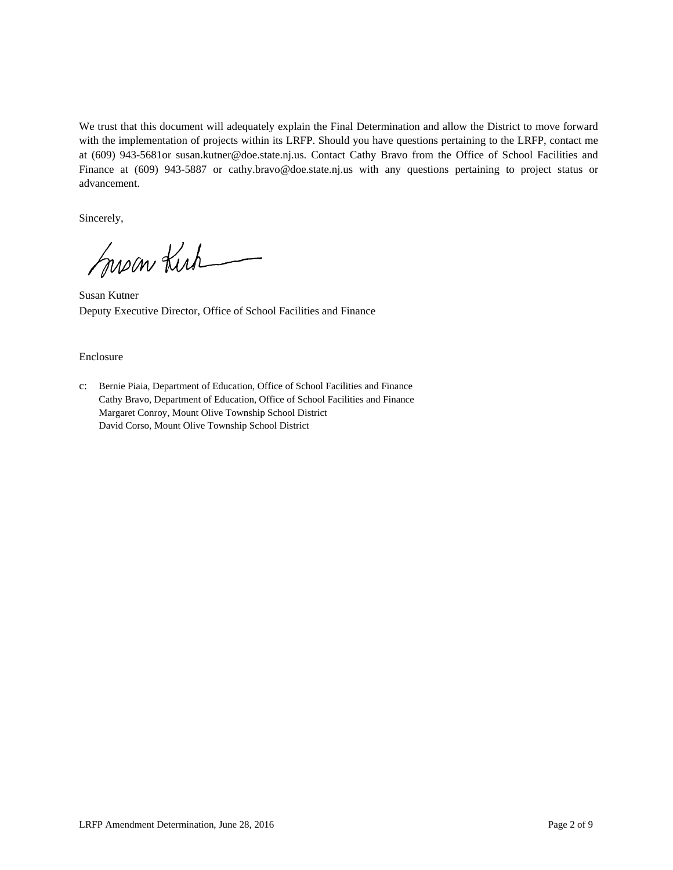We trust that this document will adequately explain the Final Determination and allow the District to move forward with the implementation of projects within its LRFP. Should you have questions pertaining to the LRFP, contact me at (609) 943-5681or susan.kutner@doe.state.nj.us. Contact Cathy Bravo from the Office of School Facilities and Finance at (609) 943-5887 or cathy.bravo@doe.state.nj.us with any questions pertaining to project status or advancement.

Sincerely,

Susan Kirk

Susan Kutner Deputy Executive Director, Office of School Facilities and Finance

#### Enclosure

c: Bernie Piaia, Department of Education, Office of School Facilities and Finance Cathy Bravo, Department of Education, Office of School Facilities and Finance Margaret Conroy, Mount Olive Township School District David Corso, Mount Olive Township School District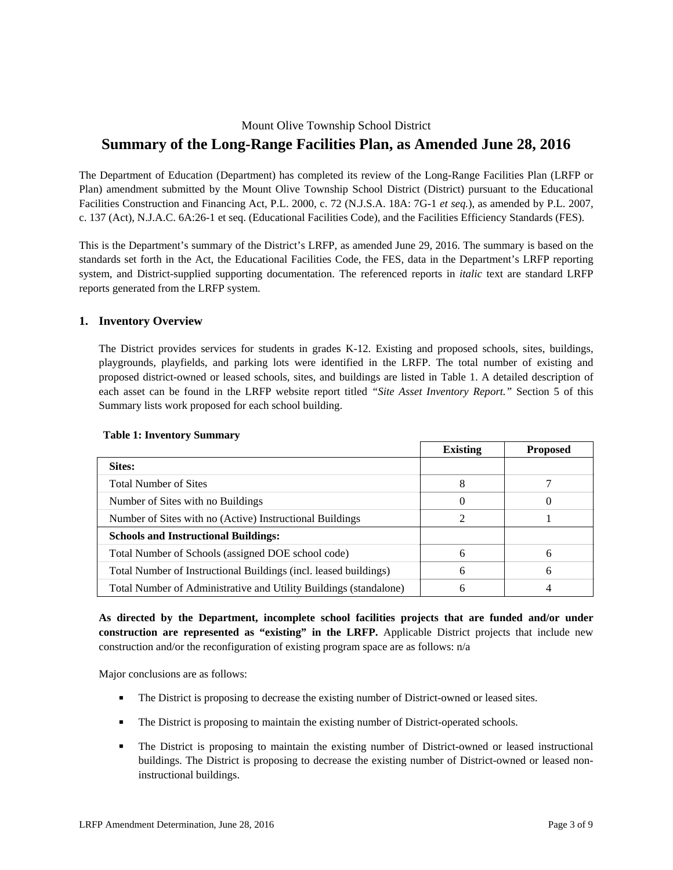# Mount Olive Township School District **Summary of the Long-Range Facilities Plan, as Amended June 28, 2016**

The Department of Education (Department) has completed its review of the Long-Range Facilities Plan (LRFP or Plan) amendment submitted by the Mount Olive Township School District (District) pursuant to the Educational Facilities Construction and Financing Act, P.L. 2000, c. 72 (N.J.S.A. 18A: 7G-1 *et seq.*), as amended by P.L. 2007, c. 137 (Act), N.J.A.C. 6A:26-1 et seq. (Educational Facilities Code), and the Facilities Efficiency Standards (FES).

This is the Department's summary of the District's LRFP, as amended June 29, 2016. The summary is based on the standards set forth in the Act, the Educational Facilities Code, the FES, data in the Department's LRFP reporting system, and District-supplied supporting documentation. The referenced reports in *italic* text are standard LRFP reports generated from the LRFP system.

## **1. Inventory Overview**

The District provides services for students in grades K-12. Existing and proposed schools, sites, buildings, playgrounds, playfields, and parking lots were identified in the LRFP. The total number of existing and proposed district-owned or leased schools, sites, and buildings are listed in Table 1. A detailed description of each asset can be found in the LRFP website report titled *"Site Asset Inventory Report."* Section 5 of this Summary lists work proposed for each school building.

|                                                                   | <b>Existing</b> | <b>Proposed</b> |
|-------------------------------------------------------------------|-----------------|-----------------|
| Sites:                                                            |                 |                 |
| <b>Total Number of Sites</b>                                      | 8               |                 |
| Number of Sites with no Buildings                                 |                 |                 |
| Number of Sites with no (Active) Instructional Buildings          | ာ               |                 |
| <b>Schools and Instructional Buildings:</b>                       |                 |                 |
| Total Number of Schools (assigned DOE school code)                | 6               | 6               |
| Total Number of Instructional Buildings (incl. leased buildings)  | 6               | 6               |
| Total Number of Administrative and Utility Buildings (standalone) | h               | 4               |

## **Table 1: Inventory Summary**

**As directed by the Department, incomplete school facilities projects that are funded and/or under construction are represented as "existing" in the LRFP.** Applicable District projects that include new construction and/or the reconfiguration of existing program space are as follows: n/a

Major conclusions are as follows:

- The District is proposing to decrease the existing number of District-owned or leased sites.
- **The District is proposing to maintain the existing number of District-operated schools.**
- The District is proposing to maintain the existing number of District-owned or leased instructional buildings. The District is proposing to decrease the existing number of District-owned or leased noninstructional buildings.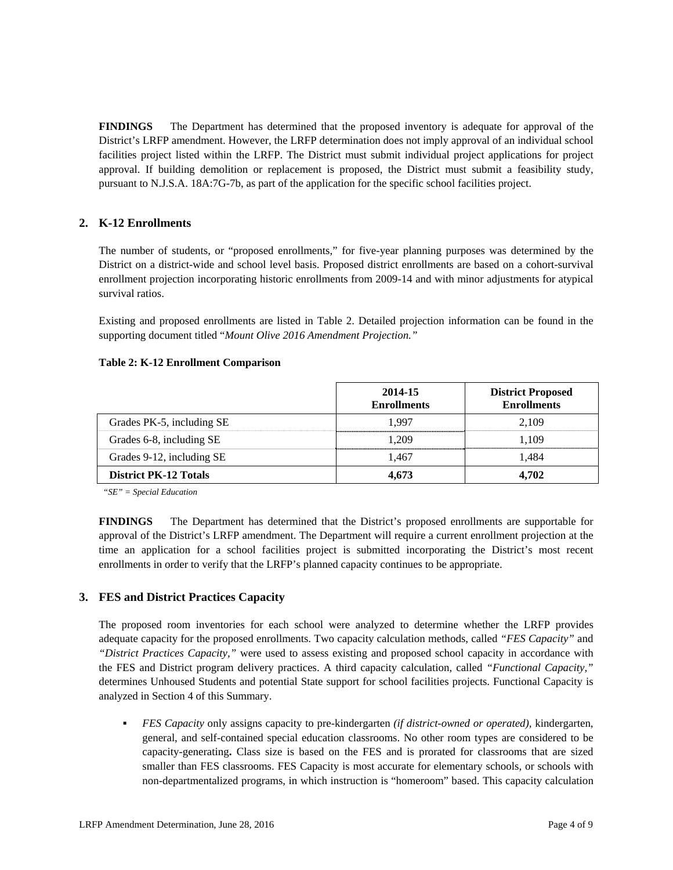**FINDINGS** The Department has determined that the proposed inventory is adequate for approval of the District's LRFP amendment. However, the LRFP determination does not imply approval of an individual school facilities project listed within the LRFP. The District must submit individual project applications for project approval. If building demolition or replacement is proposed, the District must submit a feasibility study, pursuant to N.J.S.A. 18A:7G-7b, as part of the application for the specific school facilities project.

# **2. K-12 Enrollments**

The number of students, or "proposed enrollments," for five-year planning purposes was determined by the District on a district-wide and school level basis. Proposed district enrollments are based on a cohort-survival enrollment projection incorporating historic enrollments from 2009-14 and with minor adjustments for atypical survival ratios.

Existing and proposed enrollments are listed in Table 2. Detailed projection information can be found in the supporting document titled "*Mount Olive 2016 Amendment Projection."*

#### **Table 2: K-12 Enrollment Comparison**

|                              | 2014-15<br><b>Enrollments</b> | <b>District Proposed</b><br><b>Enrollments</b> |
|------------------------------|-------------------------------|------------------------------------------------|
| Grades PK-5, including SE    | 1.997                         | 2.109                                          |
| Grades 6-8, including SE     | 1.209                         | 1.109                                          |
| Grades 9-12, including SE    | 1.467                         | 1.484                                          |
| <b>District PK-12 Totals</b> | 4.673                         | 4.702                                          |

*"SE" = Special Education* 

**FINDINGS** The Department has determined that the District's proposed enrollments are supportable for approval of the District's LRFP amendment. The Department will require a current enrollment projection at the time an application for a school facilities project is submitted incorporating the District's most recent enrollments in order to verify that the LRFP's planned capacity continues to be appropriate.

## **3. FES and District Practices Capacity**

The proposed room inventories for each school were analyzed to determine whether the LRFP provides adequate capacity for the proposed enrollments. Two capacity calculation methods, called *"FES Capacity"* and *"District Practices Capacity,"* were used to assess existing and proposed school capacity in accordance with the FES and District program delivery practices. A third capacity calculation, called *"Functional Capacity,"* determines Unhoused Students and potential State support for school facilities projects. Functional Capacity is analyzed in Section 4 of this Summary.

 *FES Capacity* only assigns capacity to pre-kindergarten *(if district-owned or operated),* kindergarten, general, and self-contained special education classrooms. No other room types are considered to be capacity-generating**.** Class size is based on the FES and is prorated for classrooms that are sized smaller than FES classrooms. FES Capacity is most accurate for elementary schools, or schools with non-departmentalized programs, in which instruction is "homeroom" based. This capacity calculation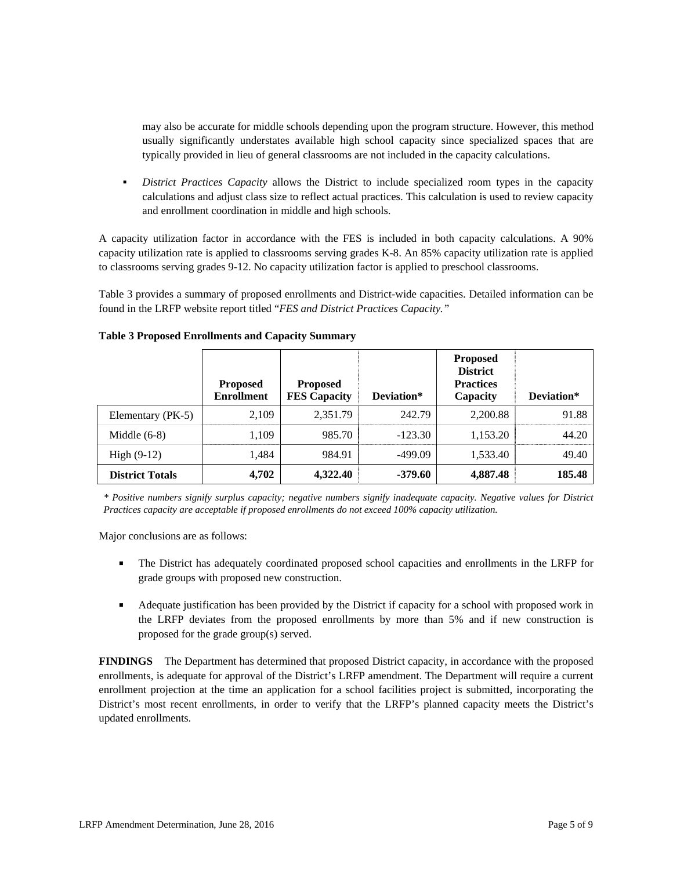may also be accurate for middle schools depending upon the program structure. However, this method usually significantly understates available high school capacity since specialized spaces that are typically provided in lieu of general classrooms are not included in the capacity calculations.

 *District Practices Capacity* allows the District to include specialized room types in the capacity calculations and adjust class size to reflect actual practices. This calculation is used to review capacity and enrollment coordination in middle and high schools.

A capacity utilization factor in accordance with the FES is included in both capacity calculations. A 90% capacity utilization rate is applied to classrooms serving grades K-8. An 85% capacity utilization rate is applied to classrooms serving grades 9-12. No capacity utilization factor is applied to preschool classrooms.

Table 3 provides a summary of proposed enrollments and District-wide capacities. Detailed information can be found in the LRFP website report titled "*FES and District Practices Capacity."*

|                        | <b>Proposed</b><br><b>Enrollment</b> | <b>Proposed</b><br><b>FES Capacity</b> | Deviation* | <b>Proposed</b><br><b>District</b><br><b>Practices</b><br>Capacity | Deviation* |
|------------------------|--------------------------------------|----------------------------------------|------------|--------------------------------------------------------------------|------------|
| Elementary (PK-5)      | 2.109                                | 2,351.79                               | 242.79     | 2,200.88                                                           | 91.88      |
| Middle $(6-8)$         | 1.109                                | 985.70                                 | $-123.30$  | 1,153.20                                                           | 44.20      |
| High $(9-12)$          | 1.484                                | 984.91                                 | $-499.09$  | 1,533.40                                                           | 49.40      |
| <b>District Totals</b> | 4,702                                | 4,322.40                               | $-379.60$  | 4,887.48                                                           | 185.48     |

#### **Table 3 Proposed Enrollments and Capacity Summary**

*\* Positive numbers signify surplus capacity; negative numbers signify inadequate capacity. Negative values for District Practices capacity are acceptable if proposed enrollments do not exceed 100% capacity utilization.* 

Major conclusions are as follows:

- The District has adequately coordinated proposed school capacities and enrollments in the LRFP for grade groups with proposed new construction.
- Adequate justification has been provided by the District if capacity for a school with proposed work in the LRFP deviates from the proposed enrollments by more than 5% and if new construction is proposed for the grade group(s) served.

**FINDINGS** The Department has determined that proposed District capacity, in accordance with the proposed enrollments, is adequate for approval of the District's LRFP amendment. The Department will require a current enrollment projection at the time an application for a school facilities project is submitted, incorporating the District's most recent enrollments, in order to verify that the LRFP's planned capacity meets the District's updated enrollments.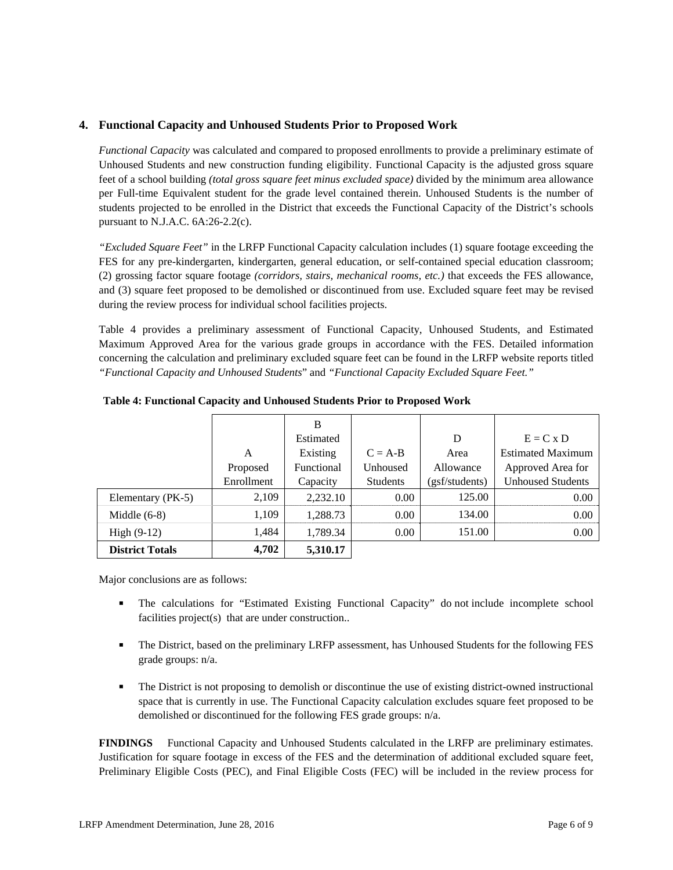## **4. Functional Capacity and Unhoused Students Prior to Proposed Work**

*Functional Capacity* was calculated and compared to proposed enrollments to provide a preliminary estimate of Unhoused Students and new construction funding eligibility. Functional Capacity is the adjusted gross square feet of a school building *(total gross square feet minus excluded space)* divided by the minimum area allowance per Full-time Equivalent student for the grade level contained therein. Unhoused Students is the number of students projected to be enrolled in the District that exceeds the Functional Capacity of the District's schools pursuant to N.J.A.C. 6A:26-2.2(c).

*"Excluded Square Feet"* in the LRFP Functional Capacity calculation includes (1) square footage exceeding the FES for any pre-kindergarten, kindergarten, general education, or self-contained special education classroom; (2) grossing factor square footage *(corridors, stairs, mechanical rooms, etc.)* that exceeds the FES allowance, and (3) square feet proposed to be demolished or discontinued from use. Excluded square feet may be revised during the review process for individual school facilities projects.

Table 4 provides a preliminary assessment of Functional Capacity, Unhoused Students, and Estimated Maximum Approved Area for the various grade groups in accordance with the FES. Detailed information concerning the calculation and preliminary excluded square feet can be found in the LRFP website reports titled *"Functional Capacity and Unhoused Students*" and *"Functional Capacity Excluded Square Feet."*

|                        |            | B          |                 |                |                          |
|------------------------|------------|------------|-----------------|----------------|--------------------------|
|                        |            | Estimated  |                 | D              | $E = C x D$              |
|                        | A          | Existing   | $C = A-B$       | Area           | <b>Estimated Maximum</b> |
|                        | Proposed   | Functional | Unhoused        | Allowance      | Approved Area for        |
|                        | Enrollment | Capacity   | <b>Students</b> | (gsf/students) | <b>Unhoused Students</b> |
| Elementary (PK-5)      | 2,109      | 2,232.10   | 0.00            | 125.00         | 0.00                     |
| Middle $(6-8)$         | 1,109      | 1,288.73   | 0.00            | 134.00         | 0.00                     |
| High $(9-12)$          | 1.484      | 1,789.34   | 0.00            | 151.00         | 0.00                     |
| <b>District Totals</b> | 4,702      | 5,310.17   |                 |                |                          |

**Table 4: Functional Capacity and Unhoused Students Prior to Proposed Work** 

Major conclusions are as follows:

- The calculations for "Estimated Existing Functional Capacity" do not include incomplete school facilities project(s) that are under construction..
- The District, based on the preliminary LRFP assessment, has Unhoused Students for the following FES grade groups: n/a.
- The District is not proposing to demolish or discontinue the use of existing district-owned instructional space that is currently in use. The Functional Capacity calculation excludes square feet proposed to be demolished or discontinued for the following FES grade groups: n/a.

**FINDINGS** Functional Capacity and Unhoused Students calculated in the LRFP are preliminary estimates. Justification for square footage in excess of the FES and the determination of additional excluded square feet, Preliminary Eligible Costs (PEC), and Final Eligible Costs (FEC) will be included in the review process for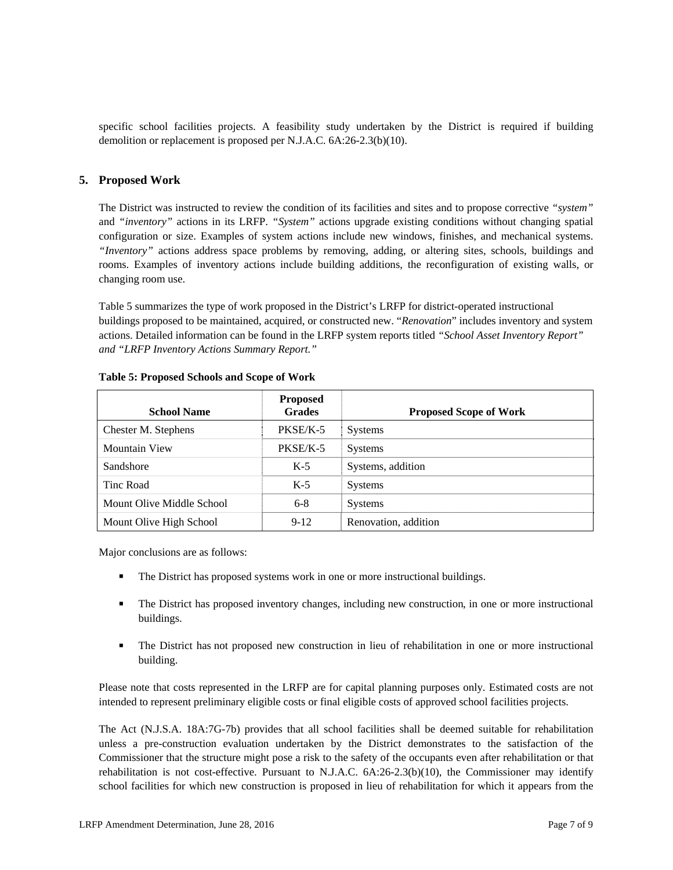specific school facilities projects. A feasibility study undertaken by the District is required if building demolition or replacement is proposed per N.J.A.C. 6A:26-2.3(b)(10).

## **5. Proposed Work**

The District was instructed to review the condition of its facilities and sites and to propose corrective *"system"* and *"inventory"* actions in its LRFP. *"System"* actions upgrade existing conditions without changing spatial configuration or size. Examples of system actions include new windows, finishes, and mechanical systems. *"Inventory"* actions address space problems by removing, adding, or altering sites, schools, buildings and rooms. Examples of inventory actions include building additions, the reconfiguration of existing walls, or changing room use.

Table 5 summarizes the type of work proposed in the District's LRFP for district-operated instructional buildings proposed to be maintained, acquired, or constructed new. "*Renovation*" includes inventory and system actions. Detailed information can be found in the LRFP system reports titled *"School Asset Inventory Report" and "LRFP Inventory Actions Summary Report."* 

| <b>School Name</b>        | <b>Proposed</b><br><b>Grades</b> | <b>Proposed Scope of Work</b> |
|---------------------------|----------------------------------|-------------------------------|
| Chester M. Stephens       | PKSE/K-5                         | <b>Systems</b>                |
| <b>Mountain View</b>      | PKSE/K-5                         | <b>Systems</b>                |
| Sandshore                 | $K-5$                            | Systems, addition             |
| Tinc Road                 | $K-5$                            | <b>Systems</b>                |
| Mount Olive Middle School | $6-8$                            | <b>Systems</b>                |
| Mount Olive High School   | $9-12$                           | Renovation, addition          |

#### **Table 5: Proposed Schools and Scope of Work**

Major conclusions are as follows:

- The District has proposed systems work in one or more instructional buildings.
- The District has proposed inventory changes, including new construction, in one or more instructional buildings.
- The District has not proposed new construction in lieu of rehabilitation in one or more instructional building.

Please note that costs represented in the LRFP are for capital planning purposes only. Estimated costs are not intended to represent preliminary eligible costs or final eligible costs of approved school facilities projects.

The Act (N.J.S.A. 18A:7G-7b) provides that all school facilities shall be deemed suitable for rehabilitation unless a pre-construction evaluation undertaken by the District demonstrates to the satisfaction of the Commissioner that the structure might pose a risk to the safety of the occupants even after rehabilitation or that rehabilitation is not cost-effective. Pursuant to N.J.A.C. 6A:26-2.3(b)(10), the Commissioner may identify school facilities for which new construction is proposed in lieu of rehabilitation for which it appears from the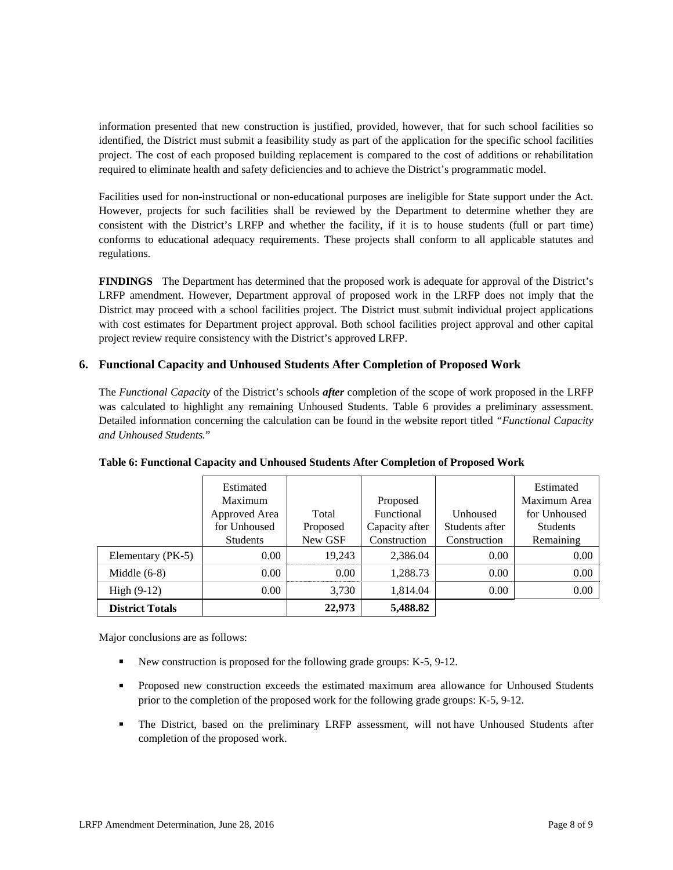information presented that new construction is justified, provided, however, that for such school facilities so identified, the District must submit a feasibility study as part of the application for the specific school facilities project. The cost of each proposed building replacement is compared to the cost of additions or rehabilitation required to eliminate health and safety deficiencies and to achieve the District's programmatic model.

Facilities used for non-instructional or non-educational purposes are ineligible for State support under the Act. However, projects for such facilities shall be reviewed by the Department to determine whether they are consistent with the District's LRFP and whether the facility, if it is to house students (full or part time) conforms to educational adequacy requirements. These projects shall conform to all applicable statutes and regulations.

**FINDINGS** The Department has determined that the proposed work is adequate for approval of the District's LRFP amendment. However, Department approval of proposed work in the LRFP does not imply that the District may proceed with a school facilities project. The District must submit individual project applications with cost estimates for Department project approval. Both school facilities project approval and other capital project review require consistency with the District's approved LRFP.

# **6. Functional Capacity and Unhoused Students After Completion of Proposed Work**

The *Functional Capacity* of the District's schools *after* completion of the scope of work proposed in the LRFP was calculated to highlight any remaining Unhoused Students. Table 6 provides a preliminary assessment. Detailed information concerning the calculation can be found in the website report titled *"Functional Capacity and Unhoused Students.*"

|                        | Estimated<br>Maximum<br>Approved Area<br>for Unhoused | Total<br>Proposed | Proposed<br>Functional<br>Capacity after | Unhoused<br>Students after | Estimated<br>Maximum Area<br>for Unhoused<br><b>Students</b> |
|------------------------|-------------------------------------------------------|-------------------|------------------------------------------|----------------------------|--------------------------------------------------------------|
|                        | <b>Students</b>                                       | New GSF           | Construction                             | Construction               | Remaining                                                    |
| Elementary (PK-5)      | 0.00                                                  | 19,243            | 2,386.04                                 | 0.00                       | 0.00                                                         |
| Middle $(6-8)$         | 0.00                                                  | 0.00              | 1,288.73                                 | 0.00                       | 0.00                                                         |
| High $(9-12)$          | 0.00                                                  | 3,730             | 1,814.04                                 | 0.00                       | 0.00                                                         |
| <b>District Totals</b> |                                                       | 22,973            | 5,488.82                                 |                            |                                                              |

**Table 6: Functional Capacity and Unhoused Students After Completion of Proposed Work** 

Major conclusions are as follows:

- New construction is proposed for the following grade groups: K-5, 9-12.
- **Proposed new construction exceeds the estimated maximum area allowance for Unhoused Students** prior to the completion of the proposed work for the following grade groups: K-5, 9-12.
- The District, based on the preliminary LRFP assessment, will not have Unhoused Students after completion of the proposed work.